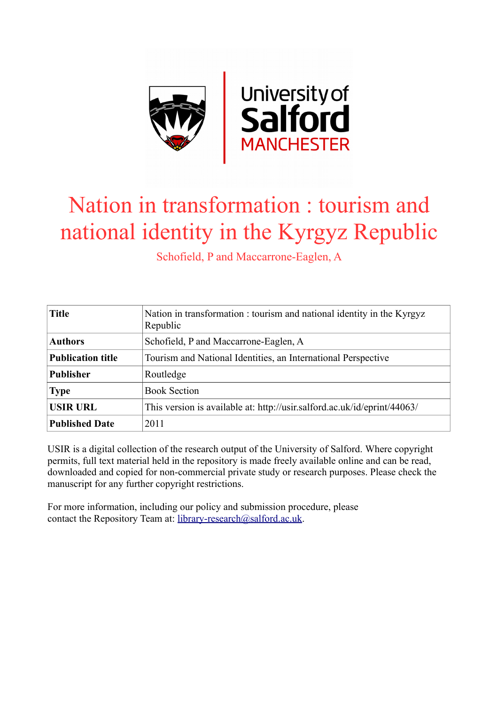

# Nation in transformation : tourism and national identity in the Kyrgyz Republic

Schofield, P and Maccarrone-Eaglen, A

| <b>Title</b>             | Nation in transformation : tourism and national identity in the Kyrgyz<br>Republic |  |  |  |  |  |
|--------------------------|------------------------------------------------------------------------------------|--|--|--|--|--|
| <b>Authors</b>           | Schofield, P and Maccarrone-Eaglen, A                                              |  |  |  |  |  |
| <b>Publication title</b> | Tourism and National Identities, an International Perspective                      |  |  |  |  |  |
| <b>Publisher</b>         | Routledge                                                                          |  |  |  |  |  |
| <b>Type</b>              | <b>Book Section</b>                                                                |  |  |  |  |  |
| <b>USIR URL</b>          | This version is available at: http://usir.salford.ac.uk/id/eprint/44063/           |  |  |  |  |  |
| <b>Published Date</b>    | 2011                                                                               |  |  |  |  |  |

USIR is a digital collection of the research output of the University of Salford. Where copyright permits, full text material held in the repository is made freely available online and can be read, downloaded and copied for non-commercial private study or research purposes. Please check the manuscript for any further copyright restrictions.

For more information, including our policy and submission procedure, please contact the Repository Team at: [library-research@salford.ac.uk.](mailto:library-research@salford.ac.uk)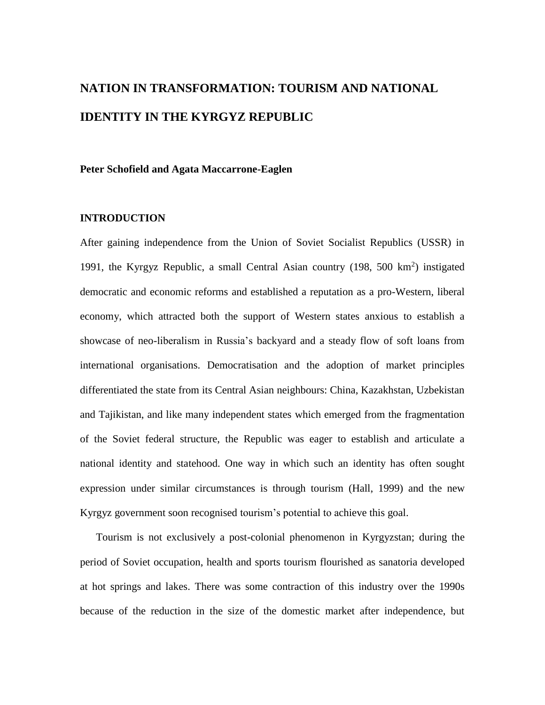## **NATION IN TRANSFORMATION: TOURISM AND NATIONAL IDENTITY IN THE KYRGYZ REPUBLIC**

#### **Peter Schofield and Agata Maccarrone-Eaglen**

#### **INTRODUCTION**

After gaining independence from the Union of Soviet Socialist Republics (USSR) in 1991, the Kyrgyz Republic, a small Central Asian country (198, 500 km<sup>2</sup>) instigated democratic and economic reforms and established a reputation as a pro-Western, liberal economy, which attracted both the support of Western states anxious to establish a showcase of neo-liberalism in Russia's backyard and a steady flow of soft loans from international organisations. Democratisation and the adoption of market principles differentiated the state from its Central Asian neighbours: China, Kazakhstan, Uzbekistan and Tajikistan, and like many independent states which emerged from the fragmentation of the Soviet federal structure, the Republic was eager to establish and articulate a national identity and statehood. One way in which such an identity has often sought expression under similar circumstances is through tourism (Hall, 1999) and the new Kyrgyz government soon recognised tourism's potential to achieve this goal.

Tourism is not exclusively a post-colonial phenomenon in Kyrgyzstan; during the period of Soviet occupation, health and sports tourism flourished as sanatoria developed at hot springs and lakes. There was some contraction of this industry over the 1990s because of the reduction in the size of the domestic market after independence, but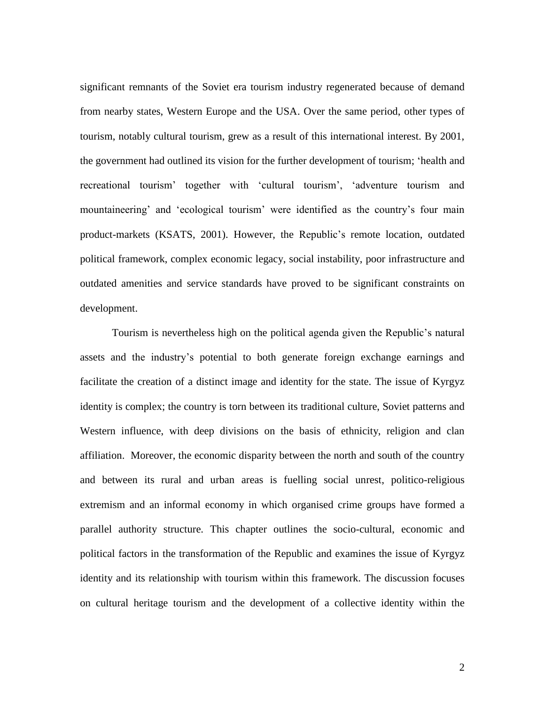significant remnants of the Soviet era tourism industry regenerated because of demand from nearby states, Western Europe and the USA. Over the same period, other types of tourism, notably cultural tourism, grew as a result of this international interest. By 2001, the government had outlined its vision for the further development of tourism; 'health and recreational tourism' together with 'cultural tourism', 'adventure tourism and mountaineering' and 'ecological tourism' were identified as the country's four main product-markets (KSATS, 2001). However, the Republic's remote location, outdated political framework, complex economic legacy, social instability, poor infrastructure and outdated amenities and service standards have proved to be significant constraints on development.

Tourism is nevertheless high on the political agenda given the Republic's natural assets and the industry's potential to both generate foreign exchange earnings and facilitate the creation of a distinct image and identity for the state. The issue of Kyrgyz identity is complex; the country is torn between its traditional culture, Soviet patterns and Western influence, with deep divisions on the basis of ethnicity, religion and clan affiliation. Moreover, the economic disparity between the north and south of the country and between its rural and urban areas is fuelling social unrest, politico-religious extremism and an informal economy in which organised crime groups have formed a parallel authority structure. This chapter outlines the socio-cultural, economic and political factors in the transformation of the Republic and examines the issue of Kyrgyz identity and its relationship with tourism within this framework. The discussion focuses on cultural heritage tourism and the development of a collective identity within the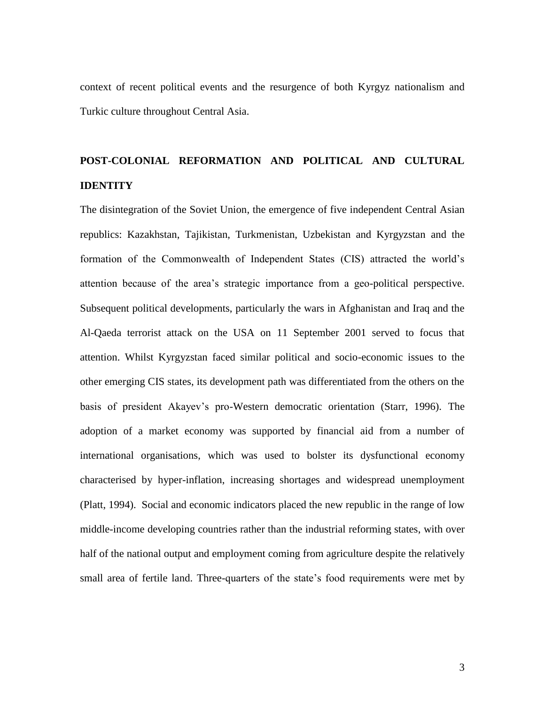context of recent political events and the resurgence of both Kyrgyz nationalism and Turkic culture throughout Central Asia.

### **POST-COLONIAL REFORMATION AND POLITICAL AND CULTURAL IDENTITY**

The disintegration of the Soviet Union, the emergence of five independent Central Asian republics: Kazakhstan, Tajikistan, Turkmenistan, Uzbekistan and Kyrgyzstan and the formation of the Commonwealth of Independent States (CIS) attracted the world's attention because of the area's strategic importance from a geo-political perspective. Subsequent political developments, particularly the wars in Afghanistan and Iraq and the Al-Qaeda terrorist attack on the USA on 11 September 2001 served to focus that attention. Whilst Kyrgyzstan faced similar political and socio-economic issues to the other emerging CIS states, its development path was differentiated from the others on the basis of president Akayev's pro-Western democratic orientation (Starr, 1996). The adoption of a market economy was supported by financial aid from a number of international organisations, which was used to bolster its dysfunctional economy characterised by hyper-inflation, increasing shortages and widespread unemployment (Platt, 1994). Social and economic indicators placed the new republic in the range of low middle-income developing countries rather than the industrial reforming states, with over half of the national output and employment coming from agriculture despite the relatively small area of fertile land. Three-quarters of the state's food requirements were met by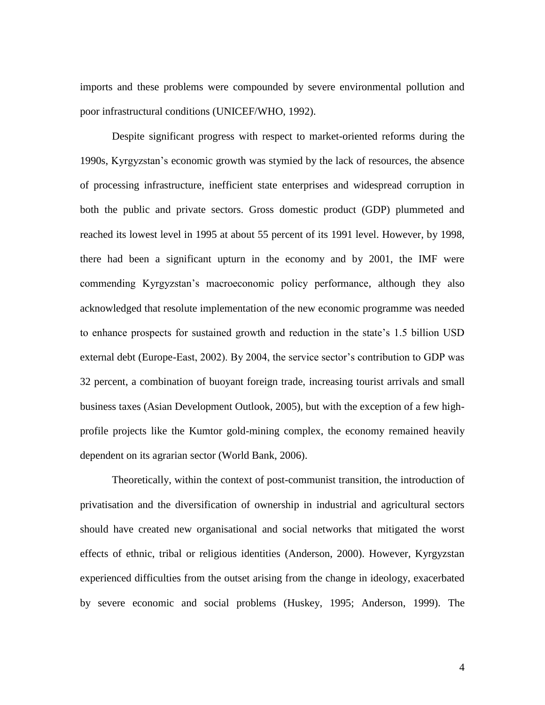imports and these problems were compounded by severe environmental pollution and poor infrastructural conditions (UNICEF/WHO, 1992).

Despite significant progress with respect to market-oriented reforms during the 1990s, Kyrgyzstan's economic growth was stymied by the lack of resources, the absence of processing infrastructure, inefficient state enterprises and widespread corruption in both the public and private sectors. Gross domestic product (GDP) plummeted and reached its lowest level in 1995 at about 55 percent of its 1991 level. However, by 1998, there had been a significant upturn in the economy and by 2001, the IMF were commending Kyrgyzstan's macroeconomic policy performance, although they also acknowledged that resolute implementation of the new economic programme was needed to enhance prospects for sustained growth and reduction in the state's 1.5 billion USD external debt (Europe-East, 2002). By 2004, the service sector's contribution to GDP was 32 percent, a combination of buoyant foreign trade, increasing tourist arrivals and small business taxes (Asian Development Outlook, 2005), but with the exception of a few highprofile projects like the Kumtor gold-mining complex, the economy remained heavily dependent on its agrarian sector (World Bank, 2006).

Theoretically, within the context of post-communist transition, the introduction of privatisation and the diversification of ownership in industrial and agricultural sectors should have created new organisational and social networks that mitigated the worst effects of ethnic, tribal or religious identities (Anderson, 2000). However, Kyrgyzstan experienced difficulties from the outset arising from the change in ideology, exacerbated by severe economic and social problems (Huskey, 1995; Anderson, 1999). The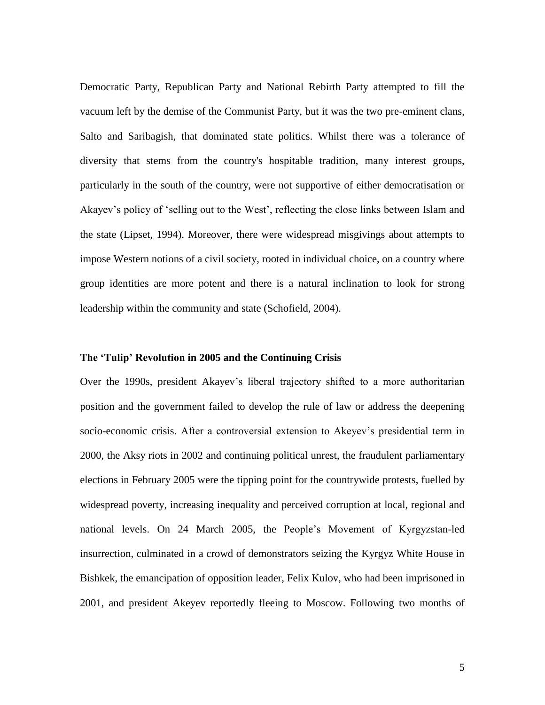Democratic Party, Republican Party and National Rebirth Party attempted to fill the vacuum left by the demise of the Communist Party, but it was the two pre-eminent clans, Salto and Saribagish, that dominated state politics. Whilst there was a tolerance of diversity that stems from the country's hospitable tradition, many interest groups, particularly in the south of the country, were not supportive of either democratisation or Akayev's policy of 'selling out to the West', reflecting the close links between Islam and the state (Lipset, 1994). Moreover, there were widespread misgivings about attempts to impose Western notions of a civil society, rooted in individual choice, on a country where group identities are more potent and there is a natural inclination to look for strong leadership within the community and state (Schofield, 2004).

#### **The 'Tulip' Revolution in 2005 and the Continuing Crisis**

Over the 1990s, president Akayev's liberal trajectory shifted to a more authoritarian position and the government failed to develop the rule of law or address the deepening socio-economic crisis. After a controversial extension to Akeyev's presidential term in 2000, the Aksy riots in 2002 and continuing political unrest, the fraudulent parliamentary elections in February 2005 were the tipping point for the countrywide protests, fuelled by widespread poverty, increasing inequality and perceived corruption at local, regional and national levels. On 24 March 2005, the People's Movement of Kyrgyzstan-led insurrection, culminated in a crowd of demonstrators seizing the Kyrgyz White House in Bishkek, the emancipation of opposition leader, Felix Kulov, who had been imprisoned in 2001, and president Akeyev reportedly fleeing to Moscow. Following two months of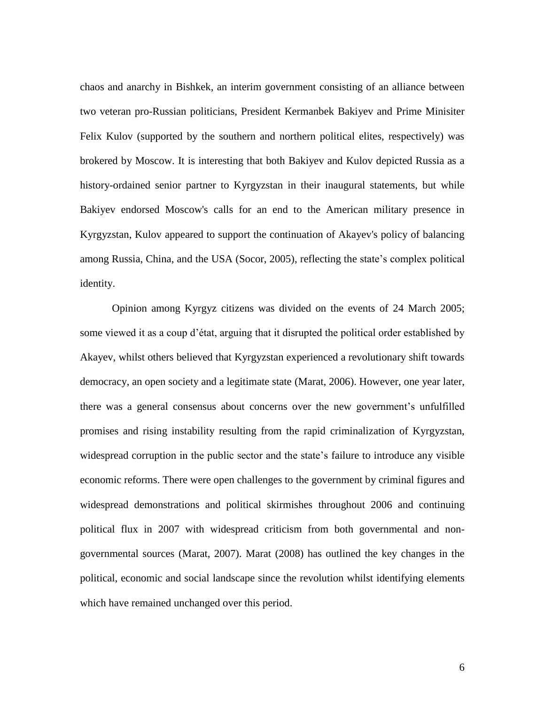chaos and anarchy in Bishkek, an interim government consisting of an alliance between two veteran pro-Russian politicians, President Kermanbek Bakiyev and Prime Minisiter Felix Kulov (supported by the southern and northern political elites, respectively) was brokered by Moscow. It is interesting that both Bakiyev and Kulov depicted Russia as a history-ordained senior partner to Kyrgyzstan in their inaugural statements, but while Bakiyev endorsed Moscow's calls for an end to the American military presence in Kyrgyzstan, Kulov appeared to support the continuation of Akayev's policy of balancing among Russia, China, and the USA (Socor, 2005), reflecting the state's complex political identity.

Opinion among Kyrgyz citizens was divided on the events of 24 March 2005; some viewed it as a coup d'état, arguing that it disrupted the political order established by Akayev, whilst others believed that Kyrgyzstan experienced a revolutionary shift towards democracy, an open society and a legitimate state (Marat, 2006). However, one year later, there was a general consensus about concerns over the new government's unfulfilled promises and rising instability resulting from the rapid criminalization of Kyrgyzstan, widespread corruption in the public sector and the state's failure to introduce any visible economic reforms. There were open challenges to the government by criminal figures and widespread demonstrations and political skirmishes throughout 2006 and continuing political flux in 2007 with widespread criticism from both governmental and nongovernmental sources (Marat, 2007). Marat (2008) has outlined the key changes in the political, economic and social landscape since the revolution whilst identifying elements which have remained unchanged over this period.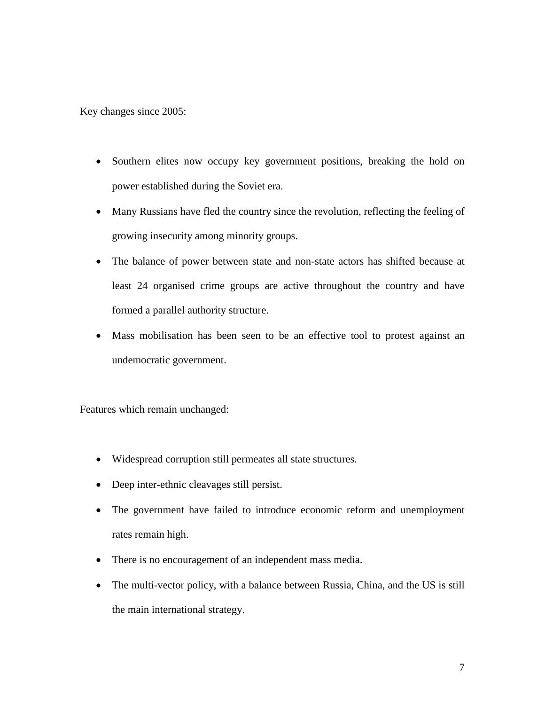Key changes since 2005:

- Southern elites now occupy key government positions, breaking the hold on power established during the Soviet era.
- Many Russians have fled the country since the revolution, reflecting the feeling of growing insecurity among minority groups.
- The balance of power between state and non-state actors has shifted because at least 24 organised crime groups are active throughout the country and have formed a parallel authority structure.
- Mass mobilisation has been seen to be an effective tool to protest against an undemocratic government.

Features which remain unchanged:

- Widespread corruption still permeates all state structures.
- Deep inter-ethnic cleavages still persist.
- The government have failed to introduce economic reform and unemployment rates remain high.
- There is no encouragement of an independent mass media.
- The multi-vector policy, with a balance between Russia, China, and the US is still the main international strategy.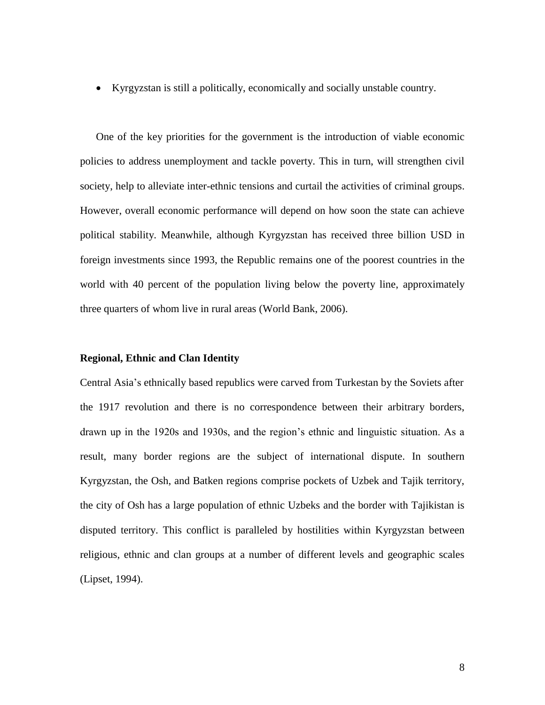Kyrgyzstan is still a politically, economically and socially unstable country.

One of the key priorities for the government is the introduction of viable economic policies to address unemployment and tackle poverty. This in turn, will strengthen civil society, help to alleviate inter-ethnic tensions and curtail the activities of criminal groups. However, overall economic performance will depend on how soon the state can achieve political stability. Meanwhile, although Kyrgyzstan has received three billion USD in foreign investments since 1993, the Republic remains one of the poorest countries in the world with 40 percent of the population living below the poverty line, approximately three quarters of whom live in rural areas (World Bank, 2006).

#### **Regional, Ethnic and Clan Identity**

Central Asia's ethnically based republics were carved from Turkestan by the Soviets after the 1917 revolution and there is no correspondence between their arbitrary borders, drawn up in the 1920s and 1930s, and the region's ethnic and linguistic situation. As a result, many border regions are the subject of international dispute. In southern Kyrgyzstan, the Osh, and Batken regions comprise pockets of Uzbek and Tajik territory, the city of Osh has a large population of ethnic Uzbeks and the border with Tajikistan is disputed territory. This conflict is paralleled by hostilities within Kyrgyzstan between religious, ethnic and clan groups at a number of different levels and geographic scales (Lipset, 1994).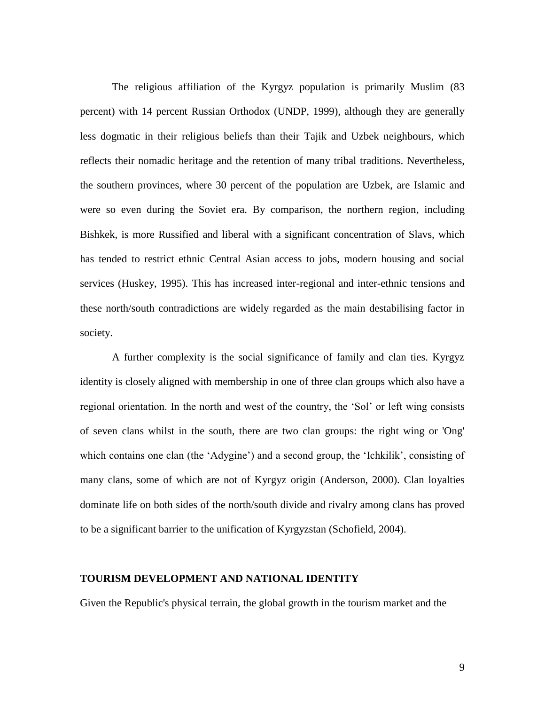The religious affiliation of the Kyrgyz population is primarily Muslim (83 percent) with 14 percent Russian Orthodox (UNDP, 1999), although they are generally less dogmatic in their religious beliefs than their Tajik and Uzbek neighbours, which reflects their nomadic heritage and the retention of many tribal traditions. Nevertheless, the southern provinces, where 30 percent of the population are Uzbek, are Islamic and were so even during the Soviet era. By comparison, the northern region, including Bishkek, is more Russified and liberal with a significant concentration of Slavs, which has tended to restrict ethnic Central Asian access to jobs, modern housing and social services (Huskey, 1995). This has increased inter-regional and inter-ethnic tensions and these north/south contradictions are widely regarded as the main destabilising factor in society.

A further complexity is the social significance of family and clan ties. Kyrgyz identity is closely aligned with membership in one of three clan groups which also have a regional orientation. In the north and west of the country, the 'Sol' or left wing consists of seven clans whilst in the south, there are two clan groups: the right wing or 'Ong' which contains one clan (the 'Adygine') and a second group, the 'Ichkilik', consisting of many clans, some of which are not of Kyrgyz origin (Anderson, 2000). Clan loyalties dominate life on both sides of the north/south divide and rivalry among clans has proved to be a significant barrier to the unification of Kyrgyzstan (Schofield, 2004).

#### **TOURISM DEVELOPMENT AND NATIONAL IDENTITY**

Given the Republic's physical terrain, the global growth in the tourism market and the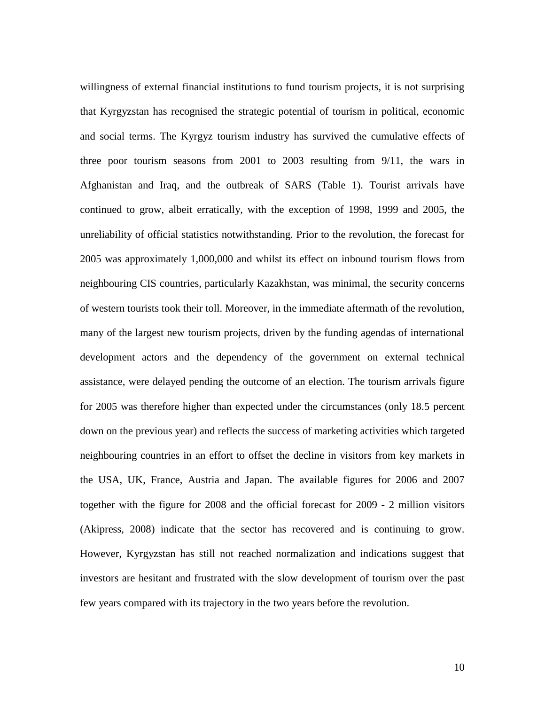willingness of external financial institutions to fund tourism projects, it is not surprising that Kyrgyzstan has recognised the strategic potential of tourism in political, economic and social terms. The Kyrgyz tourism industry has survived the cumulative effects of three poor tourism seasons from 2001 to 2003 resulting from 9/11, the wars in Afghanistan and Iraq, and the outbreak of SARS (Table 1). Tourist arrivals have continued to grow, albeit erratically, with the exception of 1998, 1999 and 2005, the unreliability of official statistics notwithstanding. Prior to the revolution, the forecast for 2005 was approximately 1,000,000 and whilst its effect on inbound tourism flows from neighbouring CIS countries, particularly Kazakhstan, was minimal, the security concerns of western tourists took their toll. Moreover, in the immediate aftermath of the revolution, many of the largest new tourism projects, driven by the funding agendas of international development actors and the dependency of the government on external technical assistance, were delayed pending the outcome of an election. The tourism arrivals figure for 2005 was therefore higher than expected under the circumstances (only 18.5 percent down on the previous year) and reflects the success of marketing activities which targeted neighbouring countries in an effort to offset the decline in visitors from key markets in the USA, UK, France, Austria and Japan. The available figures for 2006 and 2007 together with the figure for 2008 and the official forecast for 2009 - 2 million visitors (Akipress, 2008) indicate that the sector has recovered and is continuing to grow. However, Kyrgyzstan has still not reached normalization and indications suggest that investors are hesitant and frustrated with the slow development of tourism over the past few years compared with its trajectory in the two years before the revolution.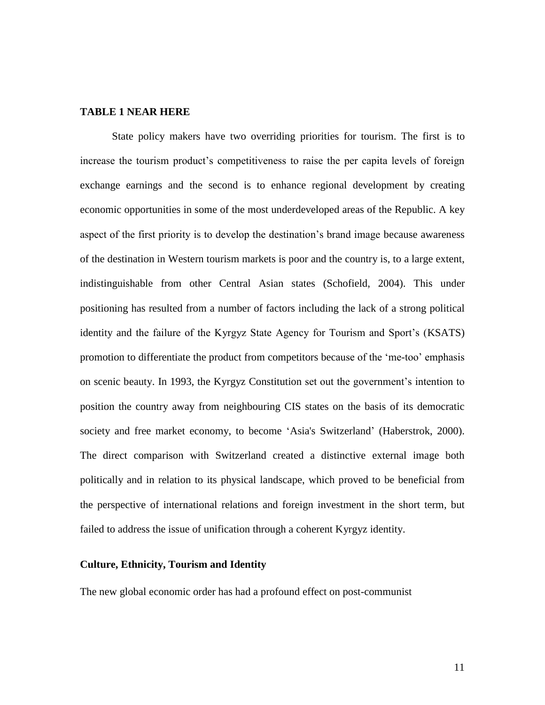#### **TABLE 1 NEAR HERE**

State policy makers have two overriding priorities for tourism. The first is to increase the tourism product's competitiveness to raise the per capita levels of foreign exchange earnings and the second is to enhance regional development by creating economic opportunities in some of the most underdeveloped areas of the Republic. A key aspect of the first priority is to develop the destination's brand image because awareness of the destination in Western tourism markets is poor and the country is, to a large extent, indistinguishable from other Central Asian states (Schofield, 2004). This under positioning has resulted from a number of factors including the lack of a strong political identity and the failure of the Kyrgyz State Agency for Tourism and Sport's (KSATS) promotion to differentiate the product from competitors because of the 'me-too' emphasis on scenic beauty. In 1993, the Kyrgyz Constitution set out the government's intention to position the country away from neighbouring CIS states on the basis of its democratic society and free market economy, to become 'Asia's Switzerland' (Haberstrok, 2000). The direct comparison with Switzerland created a distinctive external image both politically and in relation to its physical landscape, which proved to be beneficial from the perspective of international relations and foreign investment in the short term, but failed to address the issue of unification through a coherent Kyrgyz identity.

#### **Culture, Ethnicity, Tourism and Identity**

The new global economic order has had a profound effect on post-communist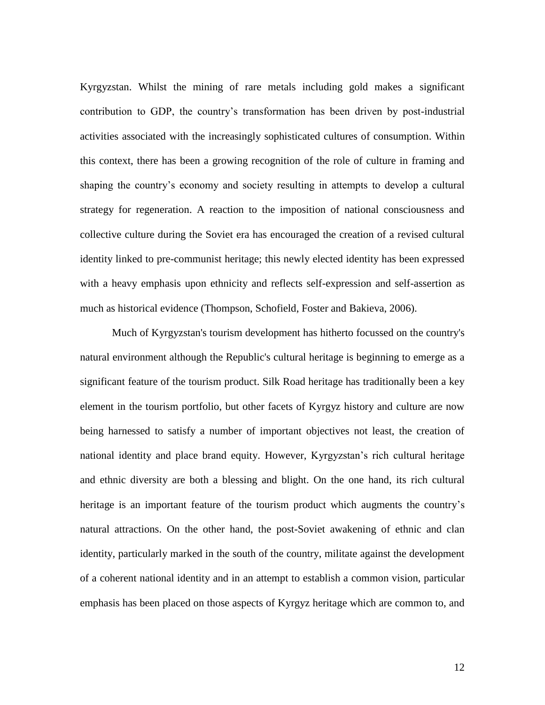Kyrgyzstan. Whilst the mining of rare metals including gold makes a significant contribution to GDP, the country's transformation has been driven by post-industrial activities associated with the increasingly sophisticated cultures of consumption. Within this context, there has been a growing recognition of the role of culture in framing and shaping the country's economy and society resulting in attempts to develop a cultural strategy for regeneration. A reaction to the imposition of national consciousness and collective culture during the Soviet era has encouraged the creation of a revised cultural identity linked to pre-communist heritage; this newly elected identity has been expressed with a heavy emphasis upon ethnicity and reflects self-expression and self-assertion as much as historical evidence (Thompson, Schofield, Foster and Bakieva, 2006).

Much of Kyrgyzstan's tourism development has hitherto focussed on the country's natural environment although the Republic's cultural heritage is beginning to emerge as a significant feature of the tourism product. Silk Road heritage has traditionally been a key element in the tourism portfolio, but other facets of Kyrgyz history and culture are now being harnessed to satisfy a number of important objectives not least, the creation of national identity and place brand equity. However, Kyrgyzstan's rich cultural heritage and ethnic diversity are both a blessing and blight. On the one hand, its rich cultural heritage is an important feature of the tourism product which augments the country's natural attractions. On the other hand, the post-Soviet awakening of ethnic and clan identity, particularly marked in the south of the country, militate against the development of a coherent national identity and in an attempt to establish a common vision, particular emphasis has been placed on those aspects of Kyrgyz heritage which are common to, and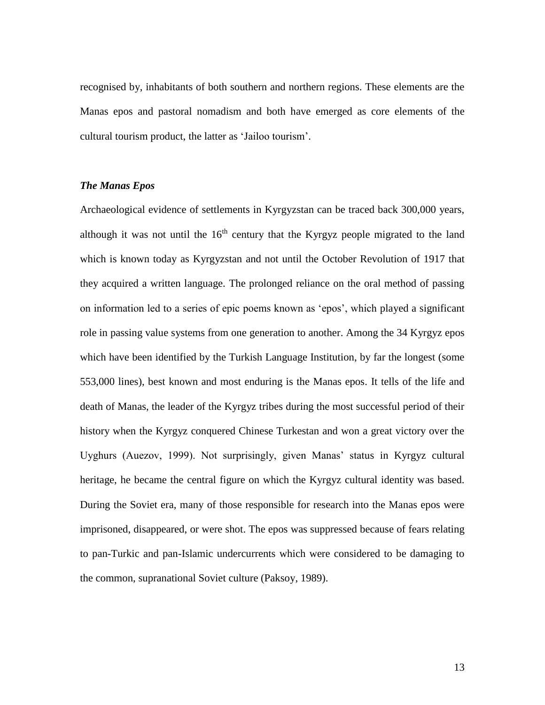recognised by, inhabitants of both southern and northern regions. These elements are the Manas epos and pastoral nomadism and both have emerged as core elements of the cultural tourism product, the latter as 'Jailoo tourism'.

#### *The Manas Epos*

Archaeological evidence of settlements in Kyrgyzstan can be traced back 300,000 years, although it was not until the  $16<sup>th</sup>$  century that the Kyrgyz people migrated to the land which is known today as Kyrgyzstan and not until the October Revolution of 1917 that they acquired a written language. The prolonged reliance on the oral method of passing on information led to a series of epic poems known as 'epos', which played a significant role in passing value systems from one generation to another. Among the 34 Kyrgyz epos which have been identified by the Turkish Language Institution, by far the longest (some 553,000 lines), best known and most enduring is the Manas epos. It tells of the life and death of Manas, the leader of the Kyrgyz tribes during the most successful period of their history when the Kyrgyz conquered Chinese Turkestan and won a great victory over the Uyghurs (Auezov, 1999). Not surprisingly, given Manas' status in Kyrgyz cultural heritage, he became the central figure on which the Kyrgyz cultural identity was based. During the Soviet era, many of those responsible for research into the Manas epos were imprisoned, disappeared, or were shot. The epos was suppressed because of fears relating to pan-Turkic and pan-Islamic undercurrents which were considered to be damaging to the common, supranational Soviet culture (Paksoy, 1989).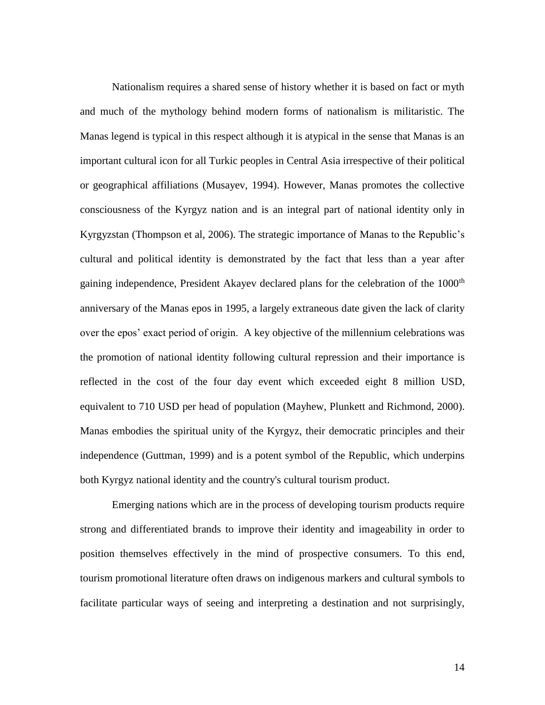Nationalism requires a shared sense of history whether it is based on fact or myth and much of the mythology behind modern forms of nationalism is militaristic. The Manas legend is typical in this respect although it is atypical in the sense that Manas is an important cultural icon for all Turkic peoples in Central Asia irrespective of their political or geographical affiliations (Musayev, 1994). However, Manas promotes the collective consciousness of the Kyrgyz nation and is an integral part of national identity only in Kyrgyzstan (Thompson et al, 2006). The strategic importance of Manas to the Republic's cultural and political identity is demonstrated by the fact that less than a year after gaining independence, President Akayev declared plans for the celebration of the 1000<sup>th</sup> anniversary of the Manas epos in 1995, a largely extraneous date given the lack of clarity over the epos' exact period of origin. A key objective of the millennium celebrations was the promotion of national identity following cultural repression and their importance is reflected in the cost of the four day event which exceeded eight 8 million USD, equivalent to 710 USD per head of population (Mayhew, Plunkett and Richmond, 2000). Manas embodies the spiritual unity of the Kyrgyz, their democratic principles and their independence (Guttman, 1999) and is a potent symbol of the Republic, which underpins both Kyrgyz national identity and the country's cultural tourism product.

Emerging nations which are in the process of developing tourism products require strong and differentiated brands to improve their identity and imageability in order to position themselves effectively in the mind of prospective consumers. To this end, tourism promotional literature often draws on indigenous markers and cultural symbols to facilitate particular ways of seeing and interpreting a destination and not surprisingly,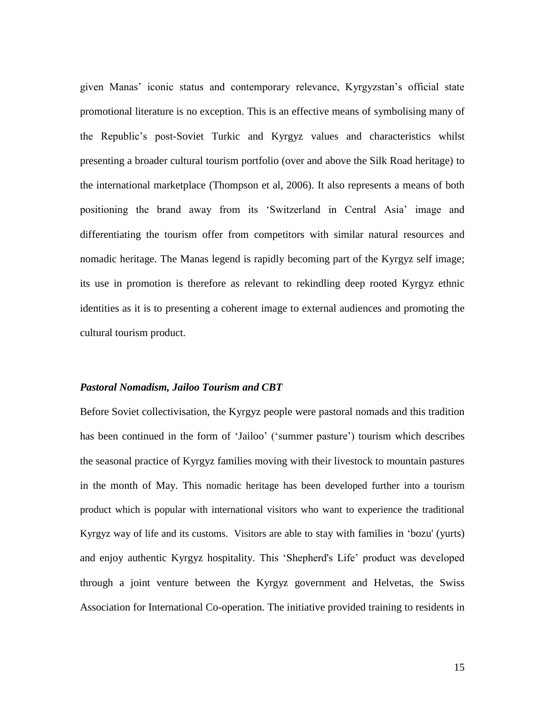given Manas' iconic status and contemporary relevance, Kyrgyzstan's official state promotional literature is no exception. This is an effective means of symbolising many of the Republic's post-Soviet Turkic and Kyrgyz values and characteristics whilst presenting a broader cultural tourism portfolio (over and above the Silk Road heritage) to the international marketplace (Thompson et al, 2006). It also represents a means of both positioning the brand away from its 'Switzerland in Central Asia' image and differentiating the tourism offer from competitors with similar natural resources and nomadic heritage. The Manas legend is rapidly becoming part of the Kyrgyz self image; its use in promotion is therefore as relevant to rekindling deep rooted Kyrgyz ethnic identities as it is to presenting a coherent image to external audiences and promoting the cultural tourism product.

#### *Pastoral Nomadism, Jailoo Tourism and CBT*

Before Soviet collectivisation, the Kyrgyz people were pastoral nomads and this tradition has been continued in the form of 'Jailoo' ('summer pasture') tourism which describes the seasonal practice of Kyrgyz families moving with their livestock to mountain pastures in the month of May. This nomadic heritage has been developed further into a tourism product which is popular with international visitors who want to experience the traditional Kyrgyz way of life and its customs. Visitors are able to stay with families in 'bozu' (yurts) and enjoy authentic Kyrgyz hospitality. This 'Shepherd's Life' product was developed through a joint venture between the Kyrgyz government and Helvetas, the Swiss Association for International Co-operation. The initiative provided training to residents in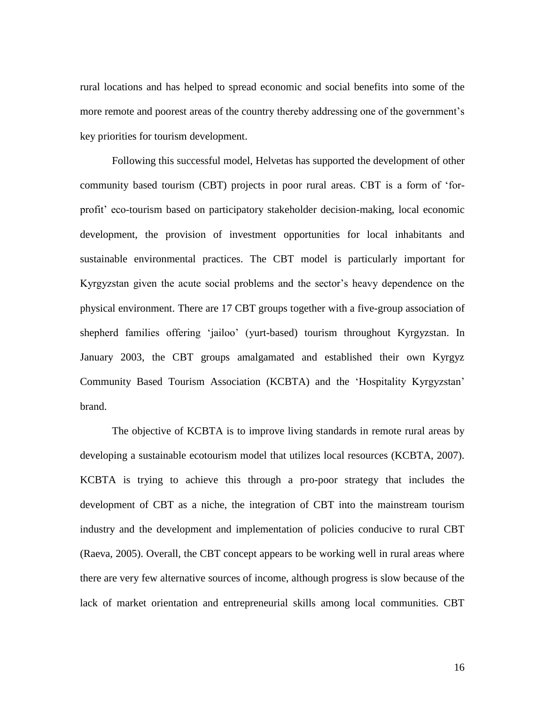rural locations and has helped to spread economic and social benefits into some of the more remote and poorest areas of the country thereby addressing one of the government's key priorities for tourism development.

Following this successful model, Helvetas has supported the development of other community based tourism (CBT) projects in poor rural areas. CBT is a form of 'forprofit' eco-tourism based on participatory stakeholder decision-making, local economic development, the provision of investment opportunities for local inhabitants and sustainable environmental practices. The CBT model is particularly important for Kyrgyzstan given the acute social problems and the sector's heavy dependence on the physical environment. There are 17 CBT groups together with a five-group association of shepherd families offering 'jailoo' (yurt-based) tourism throughout Kyrgyzstan. In January 2003, the CBT groups amalgamated and established their own Kyrgyz Community Based Tourism Association (KCBTA) and the 'Hospitality Kyrgyzstan' brand.

The objective of KCBTA is to improve living standards in remote rural areas by developing a sustainable ecotourism model that utilizes local resources (KCBTA, 2007). KCBTA is trying to achieve this through a pro-poor strategy that includes the development of CBT as a niche, the integration of CBT into the mainstream tourism industry and the development and implementation of policies conducive to rural CBT (Raeva, 2005). Overall, the CBT concept appears to be working well in rural areas where there are very few alternative sources of income, although progress is slow because of the lack of market orientation and entrepreneurial skills among local communities. CBT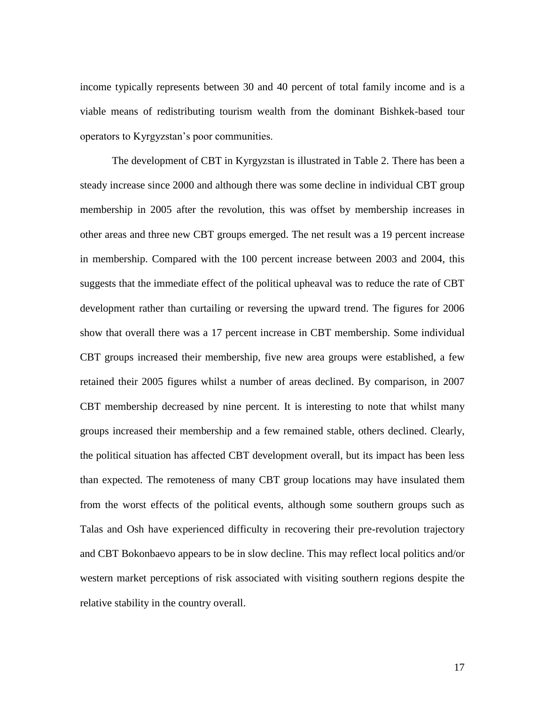income typically represents between 30 and 40 percent of total family income and is a viable means of redistributing tourism wealth from the dominant Bishkek-based tour operators to Kyrgyzstan's poor communities.

The development of CBT in Kyrgyzstan is illustrated in Table 2. There has been a steady increase since 2000 and although there was some decline in individual CBT group membership in 2005 after the revolution, this was offset by membership increases in other areas and three new CBT groups emerged. The net result was a 19 percent increase in membership. Compared with the 100 percent increase between 2003 and 2004, this suggests that the immediate effect of the political upheaval was to reduce the rate of CBT development rather than curtailing or reversing the upward trend. The figures for 2006 show that overall there was a 17 percent increase in CBT membership. Some individual CBT groups increased their membership, five new area groups were established, a few retained their 2005 figures whilst a number of areas declined. By comparison, in 2007 CBT membership decreased by nine percent. It is interesting to note that whilst many groups increased their membership and a few remained stable, others declined. Clearly, the political situation has affected CBT development overall, but its impact has been less than expected. The remoteness of many CBT group locations may have insulated them from the worst effects of the political events, although some southern groups such as Talas and Osh have experienced difficulty in recovering their pre-revolution trajectory and CBT Bokonbaevo appears to be in slow decline. This may reflect local politics and/or western market perceptions of risk associated with visiting southern regions despite the relative stability in the country overall.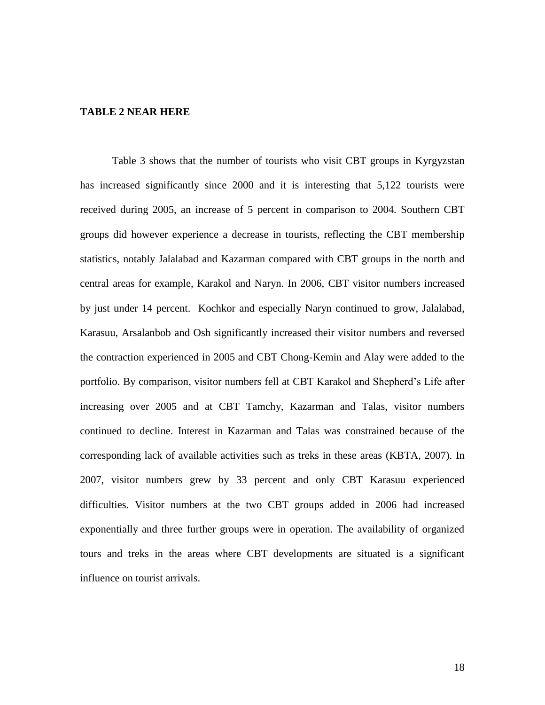#### **TABLE 2 NEAR HERE**

Table 3 shows that the number of tourists who visit CBT groups in Kyrgyzstan has increased significantly since 2000 and it is interesting that 5,122 tourists were received during 2005, an increase of 5 percent in comparison to 2004. Southern CBT groups did however experience a decrease in tourists, reflecting the CBT membership statistics, notably Jalalabad and Kazarman compared with CBT groups in the north and central areas for example, Karakol and Naryn. In 2006, CBT visitor numbers increased by just under 14 percent. Kochkor and especially Naryn continued to grow, Jalalabad, Karasuu, Arsalanbob and Osh significantly increased their visitor numbers and reversed the contraction experienced in 2005 and CBT Chong-Kemin and Alay were added to the portfolio. By comparison, visitor numbers fell at CBT Karakol and Shepherd's Life after increasing over 2005 and at CBT Tamchy, Kazarman and Talas, visitor numbers continued to decline. Interest in Kazarman and Talas was constrained because of the corresponding lack of available activities such as treks in these areas (KBTA, 2007). In 2007, visitor numbers grew by 33 percent and only CBT Karasuu experienced difficulties. Visitor numbers at the two CBT groups added in 2006 had increased exponentially and three further groups were in operation. The availability of organized tours and treks in the areas where CBT developments are situated is a significant influence on tourist arrivals.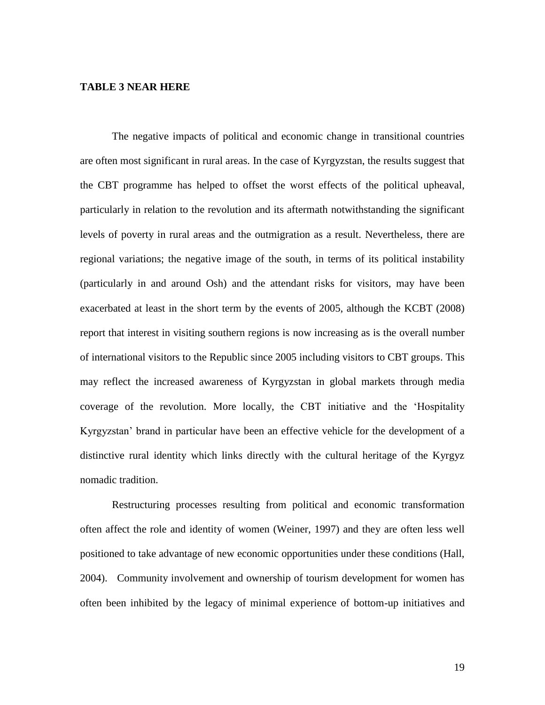#### **TABLE 3 NEAR HERE**

The negative impacts of political and economic change in transitional countries are often most significant in rural areas. In the case of Kyrgyzstan, the results suggest that the CBT programme has helped to offset the worst effects of the political upheaval, particularly in relation to the revolution and its aftermath notwithstanding the significant levels of poverty in rural areas and the outmigration as a result. Nevertheless, there are regional variations; the negative image of the south, in terms of its political instability (particularly in and around Osh) and the attendant risks for visitors, may have been exacerbated at least in the short term by the events of 2005, although the KCBT (2008) report that interest in visiting southern regions is now increasing as is the overall number of international visitors to the Republic since 2005 including visitors to CBT groups. This may reflect the increased awareness of Kyrgyzstan in global markets through media coverage of the revolution. More locally, the CBT initiative and the 'Hospitality Kyrgyzstan' brand in particular have been an effective vehicle for the development of a distinctive rural identity which links directly with the cultural heritage of the Kyrgyz nomadic tradition.

Restructuring processes resulting from political and economic transformation often affect the role and identity of women (Weiner, 1997) and they are often less well positioned to take advantage of new economic opportunities under these conditions (Hall, 2004). Community involvement and ownership of tourism development for women has often been inhibited by the legacy of minimal experience of bottom-up initiatives and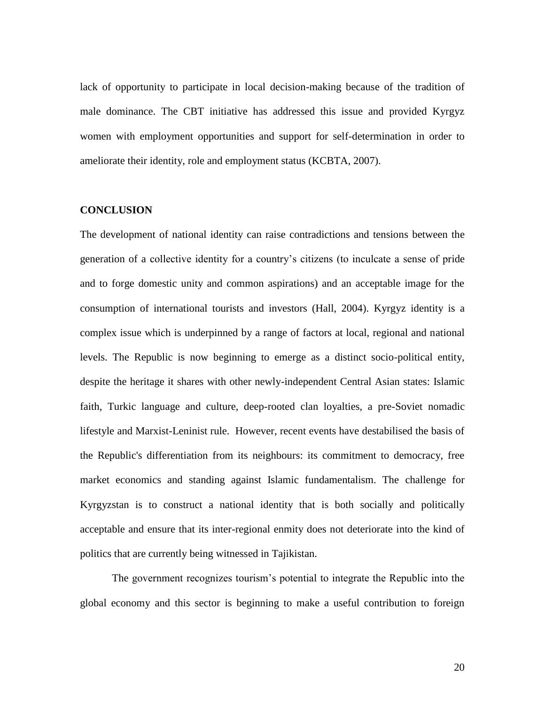lack of opportunity to participate in local decision-making because of the tradition of male dominance. The CBT initiative has addressed this issue and provided Kyrgyz women with employment opportunities and support for self-determination in order to ameliorate their identity, role and employment status (KCBTA, 2007).

#### **CONCLUSION**

The development of national identity can raise contradictions and tensions between the generation of a collective identity for a country's citizens (to inculcate a sense of pride and to forge domestic unity and common aspirations) and an acceptable image for the consumption of international tourists and investors (Hall, 2004). Kyrgyz identity is a complex issue which is underpinned by a range of factors at local, regional and national levels. The Republic is now beginning to emerge as a distinct socio-political entity, despite the heritage it shares with other newly-independent Central Asian states: Islamic faith, Turkic language and culture, deep-rooted clan loyalties, a pre-Soviet nomadic lifestyle and Marxist-Leninist rule. However, recent events have destabilised the basis of the Republic's differentiation from its neighbours: its commitment to democracy, free market economics and standing against Islamic fundamentalism. The challenge for Kyrgyzstan is to construct a national identity that is both socially and politically acceptable and ensure that its inter-regional enmity does not deteriorate into the kind of politics that are currently being witnessed in Tajikistan.

The government recognizes tourism's potential to integrate the Republic into the global economy and this sector is beginning to make a useful contribution to foreign

20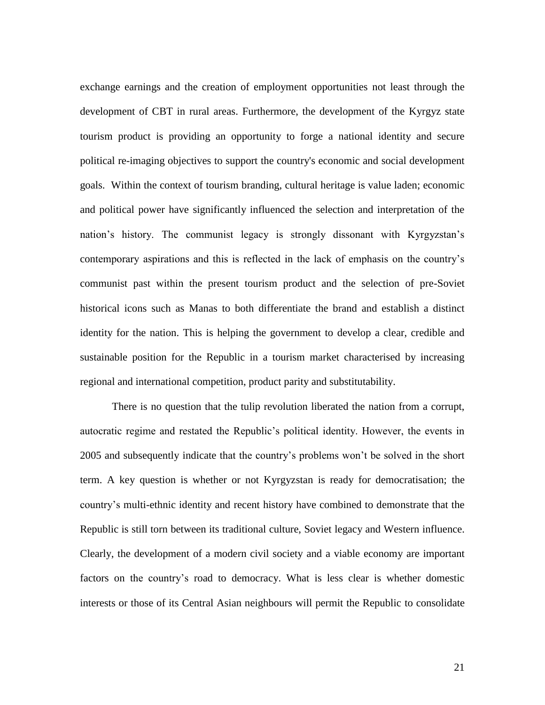exchange earnings and the creation of employment opportunities not least through the development of CBT in rural areas. Furthermore, the development of the Kyrgyz state tourism product is providing an opportunity to forge a national identity and secure political re-imaging objectives to support the country's economic and social development goals. Within the context of tourism branding, cultural heritage is value laden; economic and political power have significantly influenced the selection and interpretation of the nation's history. The communist legacy is strongly dissonant with Kyrgyzstan's contemporary aspirations and this is reflected in the lack of emphasis on the country's communist past within the present tourism product and the selection of pre-Soviet historical icons such as Manas to both differentiate the brand and establish a distinct identity for the nation. This is helping the government to develop a clear, credible and sustainable position for the Republic in a tourism market characterised by increasing regional and international competition, product parity and substitutability.

There is no question that the tulip revolution liberated the nation from a corrupt, autocratic regime and restated the Republic's political identity. However, the events in 2005 and subsequently indicate that the country's problems won't be solved in the short term. A key question is whether or not Kyrgyzstan is ready for democratisation; the country's multi-ethnic identity and recent history have combined to demonstrate that the Republic is still torn between its traditional culture, Soviet legacy and Western influence. Clearly, the development of a modern civil society and a viable economy are important factors on the country's road to democracy. What is less clear is whether domestic interests or those of its Central Asian neighbours will permit the Republic to consolidate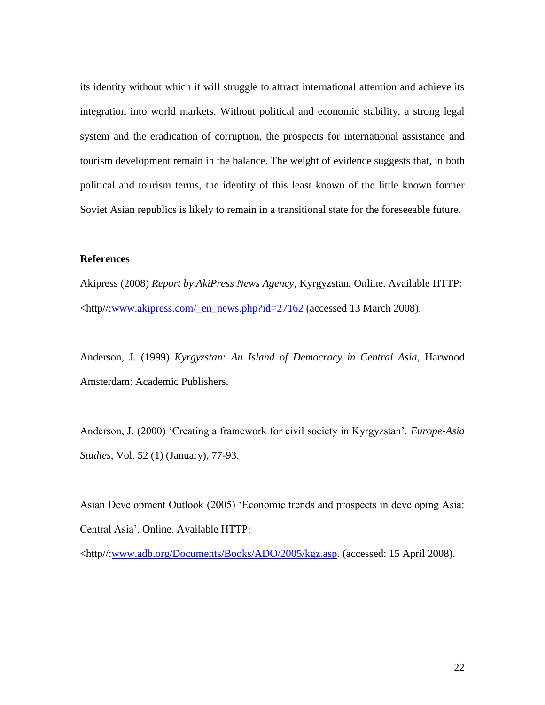its identity without which it will struggle to attract international attention and achieve its integration into world markets. Without political and economic stability, a strong legal system and the eradication of corruption, the prospects for international assistance and tourism development remain in the balance. The weight of evidence suggests that, in both political and tourism terms, the identity of this least known of the little known former Soviet Asian republics is likely to remain in a transitional state for the foreseeable future.

#### **References**

Akipress (2008) *Report by AkiPress News Agency,* Kyrgyzstan*.* Online. Available HTTP: <http//[:www.akipress.com/\\_en\\_news.php?id=27162](http://www.akipress.com/_en_news.php?id=27162) (accessed 13 March 2008).

Anderson, J. (1999) *Kyrgyzstan: An Island of Democracy in Central Asia,* Harwood Amsterdam: Academic Publishers.

Anderson, J. (2000) 'Creating a framework for civil society in Kyrgyzstan'. *Europe-Asia Studies*, Vol. 52 (1) (January), 77-93.

Asian Development Outlook (2005) 'Economic trends and prospects in developing Asia: Central Asia'. Online. Available HTTP:

<http//[:www.adb.org/Documents/Books/ADO/2005/kgz.asp.](http://www.adb.org/Documents/Books/ADO/2005/kgz.asp) (accessed: 15 April 2008).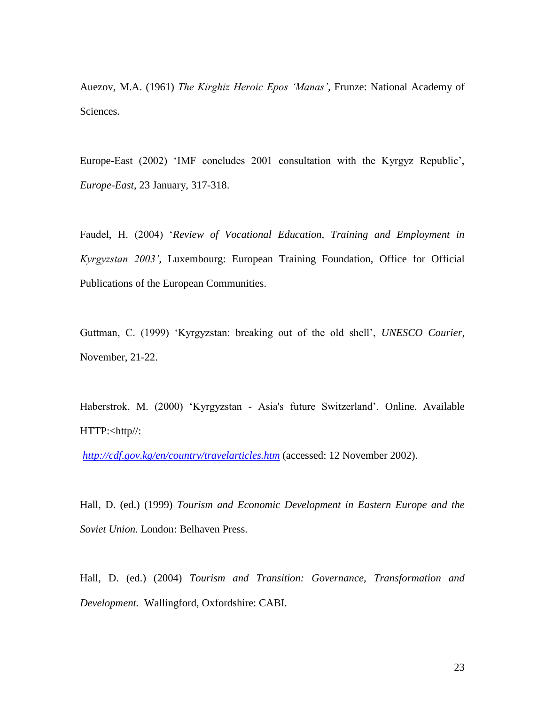Auezov, M.A. (1961) *The Kirghiz Heroic Epos 'Manas',* Frunze: National Academy of Sciences.

Europe-East (2002) 'IMF concludes 2001 consultation with the Kyrgyz Republic', *Europe-East*, 23 January, 317-318.

Faudel, H. (2004) '*Review of Vocational Education, Training and Employment in Kyrgyzstan 2003',* Luxembourg: European Training Foundation, Office for Official Publications of the European Communities.

Guttman, C. (1999) 'Kyrgyzstan: breaking out of the old shell', *UNESCO Courier*, November, 21-22.

Haberstrok, M. (2000) 'Kyrgyzstan - Asia's future Switzerland'. Online. Available HTTP:<http//:

*<http://cdf.gov.kg/en/country/travelarticles.htm>* (accessed: 12 November 2002).

Hall, D. (ed.) (1999) *Tourism and Economic Development in Eastern Europe and the Soviet Union*. London: Belhaven Press.

Hall, D. (ed.) (2004) *Tourism and Transition: Governance, Transformation and Development.* Wallingford, Oxfordshire: CABI.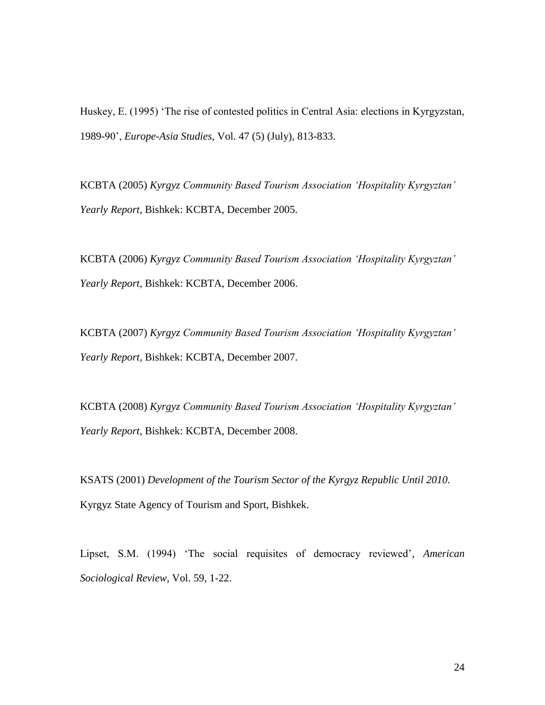Huskey, E. (1995) 'The rise of contested politics in Central Asia: elections in Kyrgyzstan, 1989-90', *Europe-Asia Studies*, Vol. 47 (5) (July), 813-833.

KCBTA (2005) *Kyrgyz Community Based Tourism Association 'Hospitality Kyrgyztan' Yearly Report,* Bishkek: KCBTA, December 2005.

KCBTA (2006) *Kyrgyz Community Based Tourism Association 'Hospitality Kyrgyztan' Yearly Report,* Bishkek: KCBTA, December 2006.

KCBTA (2007) *Kyrgyz Community Based Tourism Association 'Hospitality Kyrgyztan' Yearly Report,* Bishkek: KCBTA, December 2007.

KCBTA (2008) *Kyrgyz Community Based Tourism Association 'Hospitality Kyrgyztan' Yearly Report,* Bishkek: KCBTA, December 2008.

KSATS (2001) *Development of the Tourism Sector of the Kyrgyz Republic Until 2010.* Kyrgyz State Agency of Tourism and Sport, Bishkek.

Lipset, S.M. (1994) 'The social requisites of democracy reviewed', *American Sociological Review*, Vol. 59, 1-22.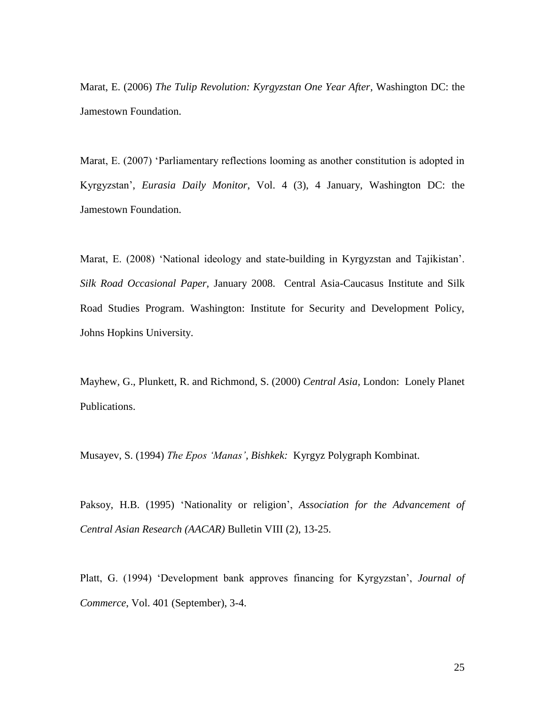Marat, E. (2006) *The Tulip Revolution: Kyrgyzstan One Year After,* Washington DC: the Jamestown Foundation.

Marat, E. (2007) 'Parliamentary reflections looming as another constitution is adopted in Kyrgyzstan', *Eurasia Daily Monitor*, Vol. 4 (3), 4 January, Washington DC: the Jamestown Foundation.

Marat, E. (2008) 'National ideology and state-building in Kyrgyzstan and Tajikistan'. *Silk Road Occasional Paper,* January 2008. Central Asia-Caucasus Institute and Silk Road Studies Program. Washington: Institute for Security and Development Policy, Johns Hopkins University.

Mayhew, G., Plunkett, R. and Richmond, S. (2000) *Central Asia,* London: Lonely Planet Publications.

Musayev, S. (1994) *The Epos 'Manas', Bishkek:* Kyrgyz Polygraph Kombinat.

Paksoy, H.B. (1995) 'Nationality or religion', *Association for the Advancement of Central Asian Research (AACAR)* Bulletin VIII (2), 13-25.

Platt, G. (1994) 'Development bank approves financing for Kyrgyzstan', *Journal of Commerce*, Vol. 401 (September), 3-4.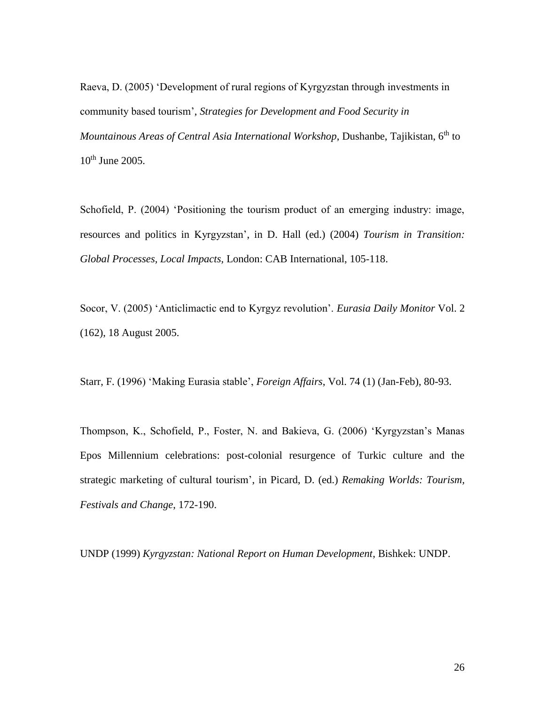Raeva, D. (2005) 'Development of rural regions of Kyrgyzstan through investments in community based tourism', *Strategies for Development and Food Security in Mountainous Areas of Central Asia International Workshop*, Dushanbe, Tajikistan, 6<sup>th</sup> to 10<sup>th</sup> June 2005.

Schofield, P. (2004) 'Positioning the tourism product of an emerging industry: image, resources and politics in Kyrgyzstan', in D. Hall (ed.) (2004) *Tourism in Transition: Global Processes, Local Impacts,* London: CAB International, 105-118.

Socor, V. (2005) 'Anticlimactic end to Kyrgyz revolution'. *Eurasia Daily Monitor* Vol. 2 (162), 18 August 2005.

Starr, F. (1996) 'Making Eurasia stable', *Foreign Affairs*, Vol. 74 (1) (Jan-Feb), 80-93.

Thompson, K., Schofield, P., Foster, N. and Bakieva, G. (2006) 'Kyrgyzstan's Manas Epos Millennium celebrations: post-colonial resurgence of Turkic culture and the strategic marketing of cultural tourism', in Picard, D. (ed.) *Remaking Worlds: Tourism, Festivals and Change*, 172-190.

UNDP (1999) *Kyrgyzstan: National Report on Human Development*, Bishkek: UNDP.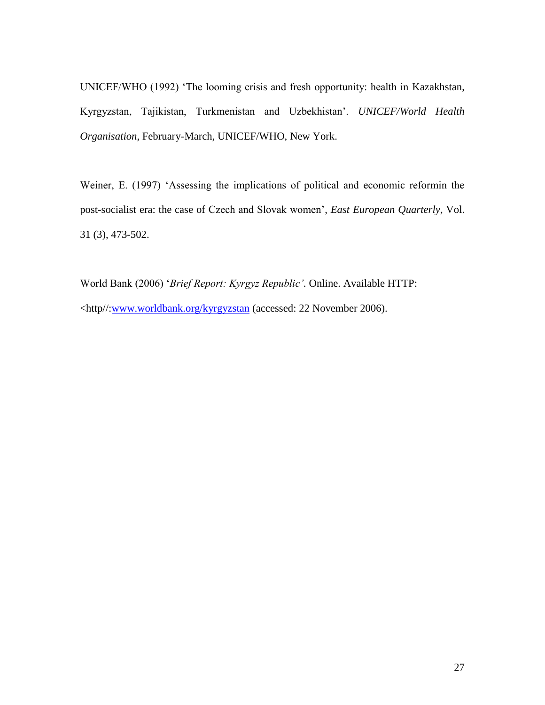UNICEF/WHO (1992) 'The looming crisis and fresh opportunity: health in Kazakhstan, Kyrgyzstan, Tajikistan, Turkmenistan and Uzbekhistan'. *UNICEF/World Health Organisation*, February-March, UNICEF/WHO, New York.

Weiner, E. (1997) 'Assessing the implications of political and economic reformin the post-socialist era: the case of Czech and Slovak women', *East European Quarterly*, Vol. 31 (3), 473-502.

World Bank (2006) '*Brief Report: Kyrgyz Republic'.* Online. Available HTTP: <http//[:www.worldbank.org/kyrgyzstan](http://www.worldbank.org/kyrgyzstan) (accessed: 22 November 2006).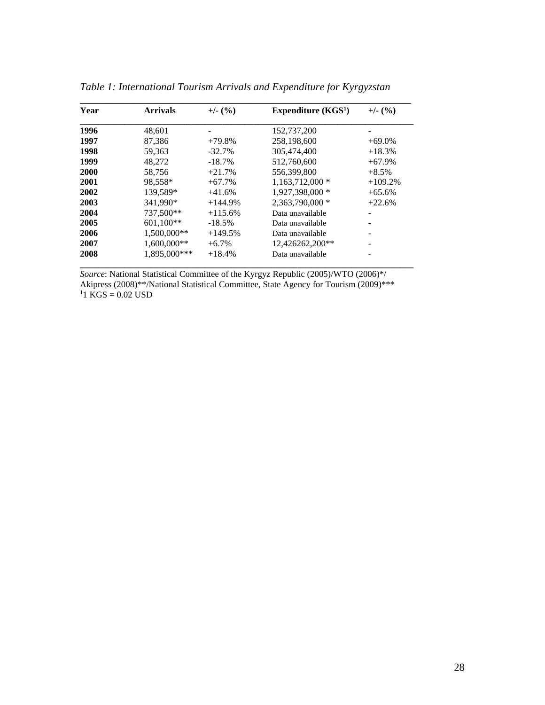| Year | <b>Arrivals</b> | $+/- (%)$ | Expenditure $(KGS1)$ | $+/- (%)$ |  |
|------|-----------------|-----------|----------------------|-----------|--|
| 1996 | 48,601          |           | 152,737,200          |           |  |
| 1997 | 87,386          | $+79.8%$  | 258,198,600          | $+69.0\%$ |  |
| 1998 | 59,363          | $-32.7%$  | 305,474,400          | $+18.3%$  |  |
| 1999 | 48.272          | $-18.7%$  | 512,760,600          | $+67.9%$  |  |
| 2000 | 58.756          | $+21.7%$  | 556.399.800          | $+8.5\%$  |  |
| 2001 | 98.558*         | $+67.7%$  | $1,163,712,000*$     | $+109.2%$ |  |
| 2002 | 139.589*        | $+41.6%$  | 1,927,398,000 *      | $+65.6%$  |  |
| 2003 | 341.990*        | $+144.9%$ | 2.363.790.000 *      | $+22.6%$  |  |
| 2004 | 737,500**       | $+115.6%$ | Data unavailable     |           |  |
| 2005 | $601,100**$     | $-18.5%$  | Data unavailable     |           |  |
| 2006 | 1.500.000**     | $+149.5%$ | Data unavailable     |           |  |
| 2007 | 1,600,000**     | $+6.7\%$  | 12,426262,200**      |           |  |
| 2008 | 1,895,000***    | $+18.4%$  | Data unavailable     |           |  |

*Table 1: International Tourism Arrivals and Expenditure for Kyrgyzstan*

*Source*: National Statistical Committee of the Kyrgyz Republic (2005)/WTO (2006)\*/ Akipress (2008)\*\*/National Statistical Committee, State Agency for Tourism (2009)\*\*\* KGS = 0.02 USD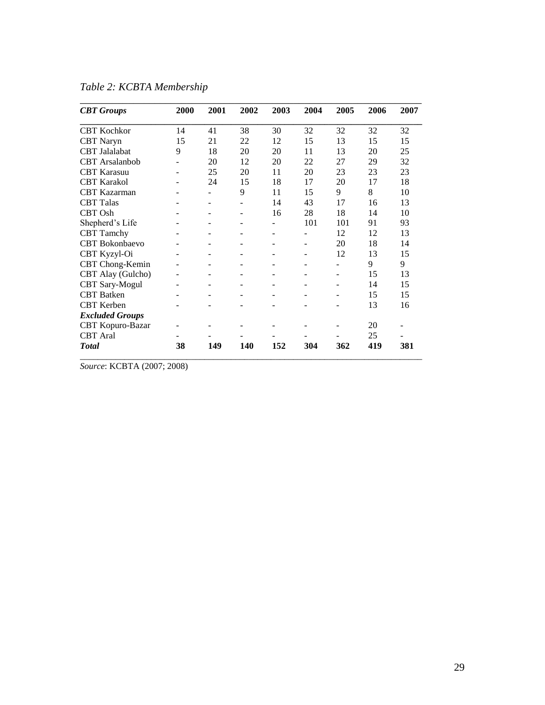| <b>CBT</b> Groups      | 2000              | 2001              | 2002                     | 2003              | 2004                     | 2005              | 2006 | 2007 |
|------------------------|-------------------|-------------------|--------------------------|-------------------|--------------------------|-------------------|------|------|
| CBT Kochkor            | 14                | 41                | 38                       | 30                | 32                       | 32                | 32   | 32   |
| <b>CBT</b> Naryn       | 15                | 21                | 22                       | 12                | 15                       | 13                | 15   | 15   |
| <b>CBT</b> Jalalabat   | 9                 | 18                | 20                       | 20                | 11                       | 13                | 20   | 25   |
| <b>CBT</b> Arsalanbob  |                   | 20                | 12                       | 20                | 22                       | 27                | 29   | 32   |
| <b>CBT</b> Karasuu     |                   | 25                | 20                       | 11                | 20                       | 23                | 23   | 23   |
| <b>CBT</b> Karakol     |                   | 24                | 15                       | 18                | 17                       | 20                | 17   | 18   |
| <b>CBT</b> Kazarman    |                   |                   | 9                        | 11                | 15                       | 9                 | 8    | 10   |
| <b>CBT</b> Talas       |                   | $\qquad \qquad -$ | $\overline{\phantom{a}}$ | 14                | 43                       | 17                | 16   | 13   |
| <b>CBT</b> Osh         |                   |                   | $\overline{\phantom{a}}$ | 16                | 28                       | 18                | 14   | 10   |
| Shepherd's Life        |                   |                   | $\qquad \qquad -$        |                   | 101                      | 101               | 91   | 93   |
| <b>CBT</b> Tamchy      |                   |                   | $\overline{\phantom{a}}$ |                   | $\overline{a}$           | 12                | 12   | 13   |
| <b>CBT</b> Bokonbaevo  |                   |                   |                          |                   | $\qquad \qquad -$        | 20                | 18   | 14   |
| CBT Kyzyl-Oi           |                   |                   | $\overline{\phantom{a}}$ |                   |                          | 12                | 13   | 15   |
| CBT Chong-Kemin        |                   |                   |                          |                   |                          |                   | 9    | 9    |
| CBT Alay (Gulcho)      | $\blacksquare$    |                   | $\overline{\phantom{a}}$ |                   | $\overline{\phantom{a}}$ |                   | 15   | 13   |
| <b>CBT</b> Sary-Mogul  | ۰                 |                   |                          |                   |                          |                   | 14   | 15   |
| <b>CBT</b> Batken      | $\qquad \qquad -$ | $\qquad \qquad -$ | $\overline{\phantom{a}}$ | $\qquad \qquad -$ | $\qquad \qquad -$        | $\qquad \qquad -$ | 15   | 15   |
| <b>CBT</b> Kerben      |                   |                   |                          |                   |                          |                   | 13   | 16   |
| <b>Excluded Groups</b> |                   |                   |                          |                   |                          |                   |      |      |
| CBT Kopuro-Bazar       |                   |                   |                          |                   |                          |                   | 20   |      |
| <b>CBT</b> Aral        |                   |                   |                          |                   |                          |                   | 25   |      |
| <b>Total</b>           | 38                | 149               | 140                      | 152               | 304                      | 362               | 419  | 381  |

*Table 2: KCBTA Membership* 

*Source*: KCBTA (2007; 2008)